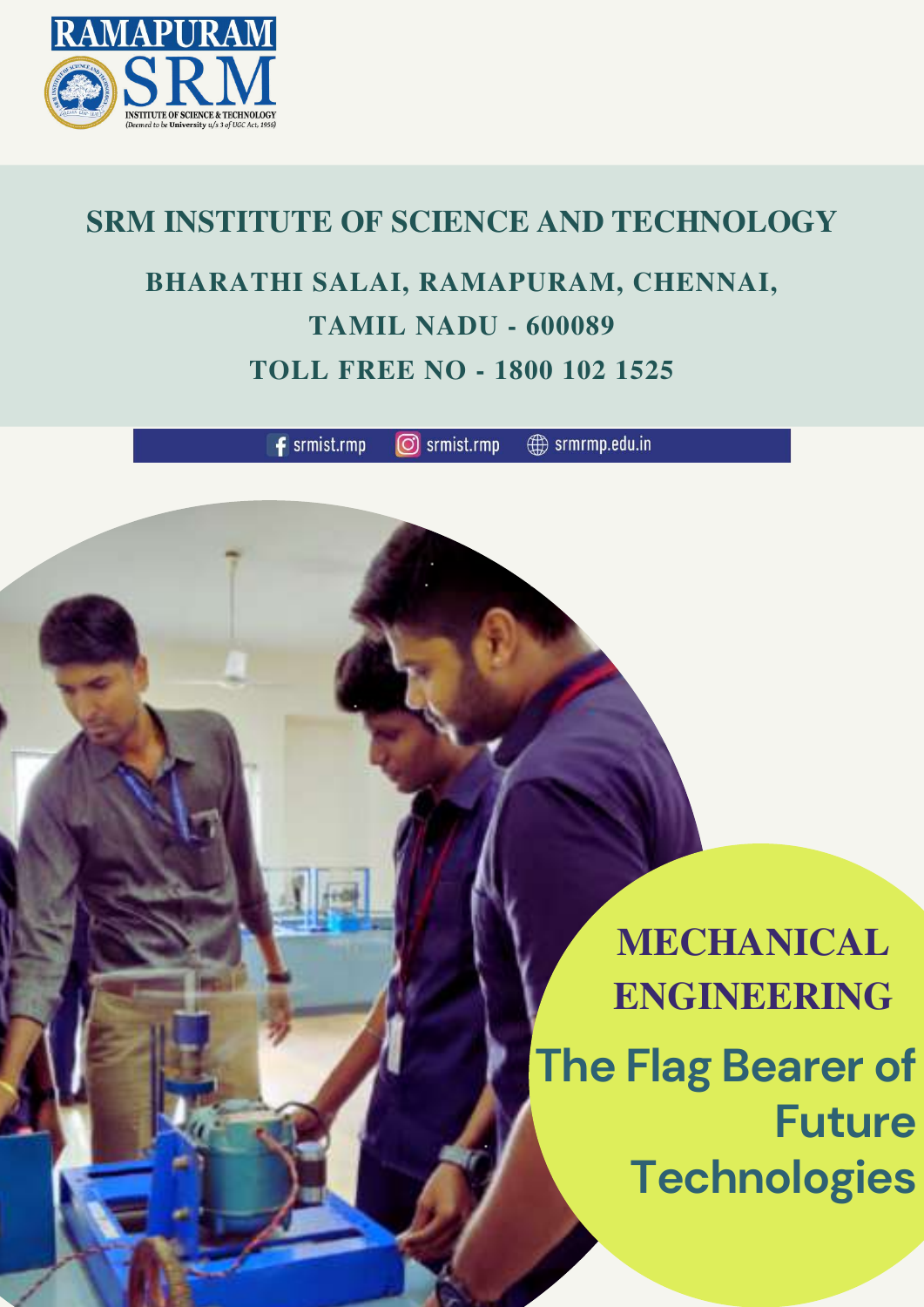

## **SRM INSTITUTE OF SCIENCE AND TECHNOLOGY BHARATHI SALAI, RAMAPURAM, CHENNAI, TAMIL NADU - 600089 TOLL FREE NO - 1800 102 1525**

 $f$  srmist.rmp srmist.rmp (ට)

 $\bigoplus$  srmrmp.edu.in



# **MECHANICAL ENGINEERING The Flag Bearer of Future Technologies**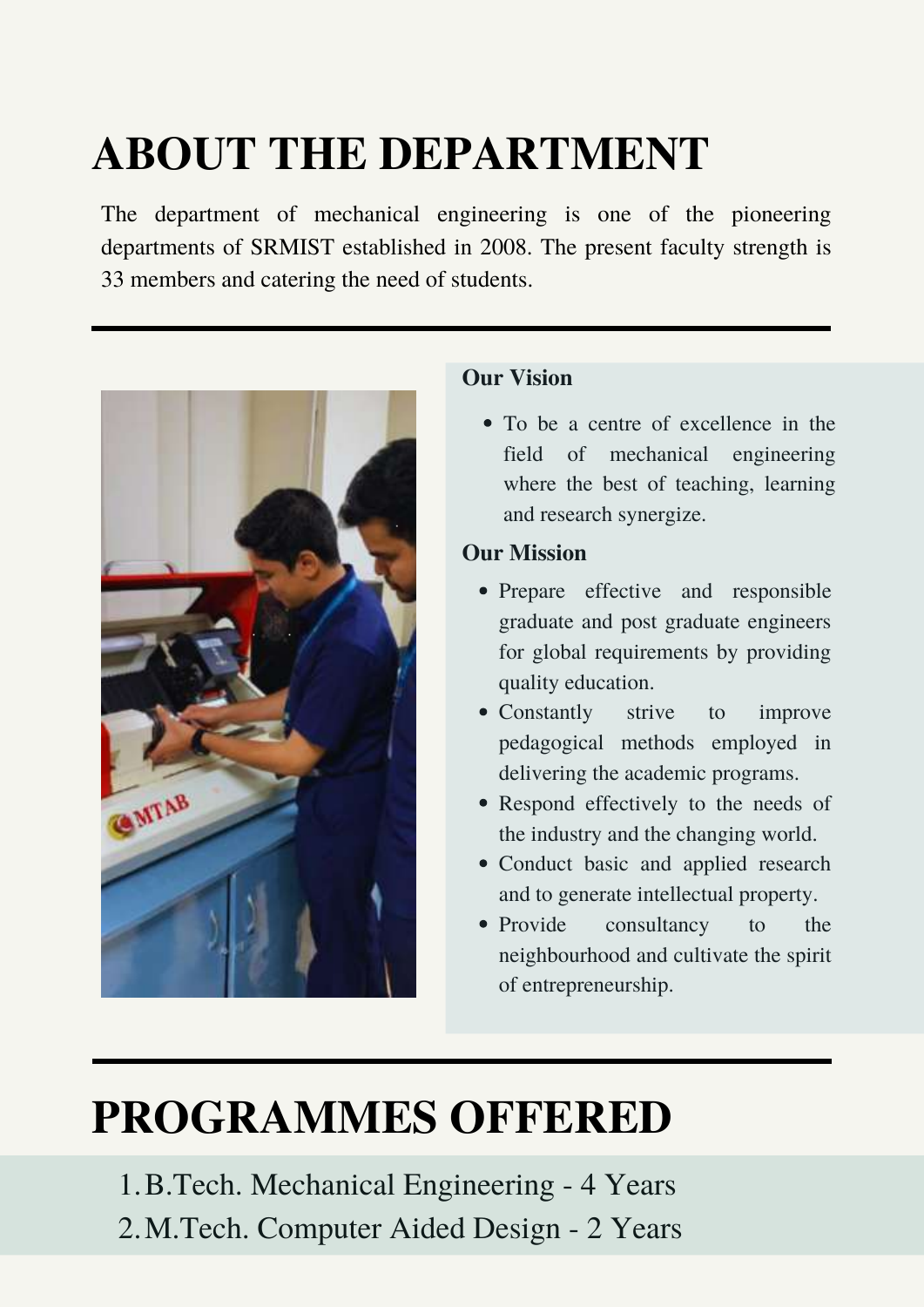## **ABOUT THE DEPARTMENT**

#### **Our Vision**

#### **Our Mission**

• To be a centre of excellence in the field of mechanical engineering where the best of teaching, learning and research synergize.

- Prepare effective and responsible graduate and post graduate engineers for global requirements by providing quality education.
- Constantly strive to improve pedagogical methods employed in delivering the academic programs.
- Respond effectively to the needs of the industry and the changing world.
- Conduct basic and applied research and to generate intellectual property.
- Provide consultancy to the neighbourhood and cultivate the spirit of entrepreneurship.

1. B. Tech. Mechanical Engineering - 4 Years M.Tech. Computer Aided Design - 2 Years 2.

The department of mechanical engineering is one of the pioneering departments of SRMIST established in 2008. The present faculty strength is 33 members and catering the need of students.



## **PROGRAMMES OFFERED**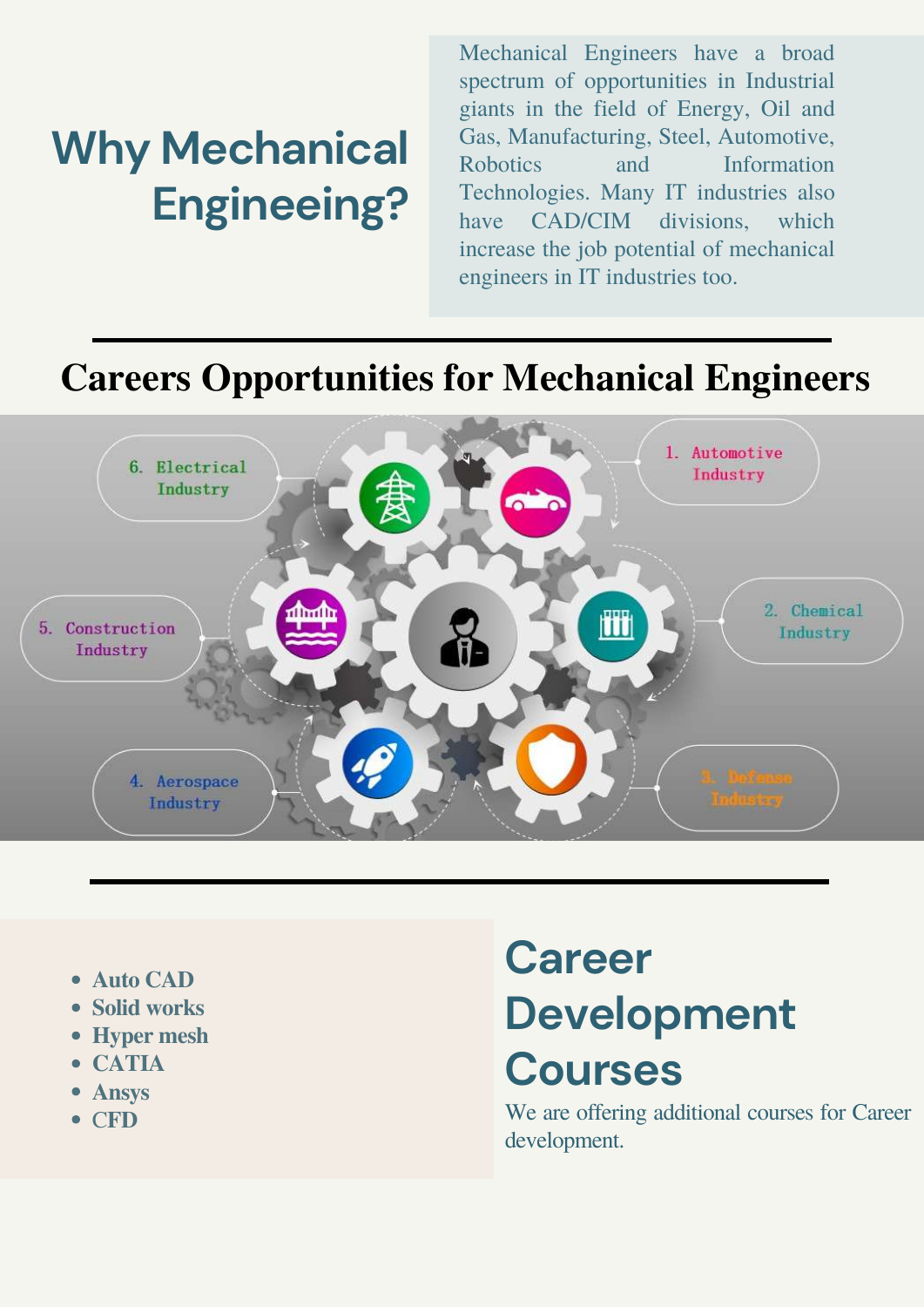- **Auto CAD**
- **Solid works**
- **Hyper mesh**
- **CATIA**
- **Ansys**
- C**FD**

Mechanical Engineers have a broad spectrum of opportunities in Industrial giants in the field of Energy, Oil and Gas, Manufacturing, Steel, Automotive, Robotics and Information Technologies. Many IT industries also have CAD/CIM divisions, which increase the job potential of mechanical engineers in IT industries too.

# **Why Mechanical Engineeing?**

# **Career Development Courses**

We are offering additional courses for Career development.

#### **Careers Opportunities for Mechanical Engineers**

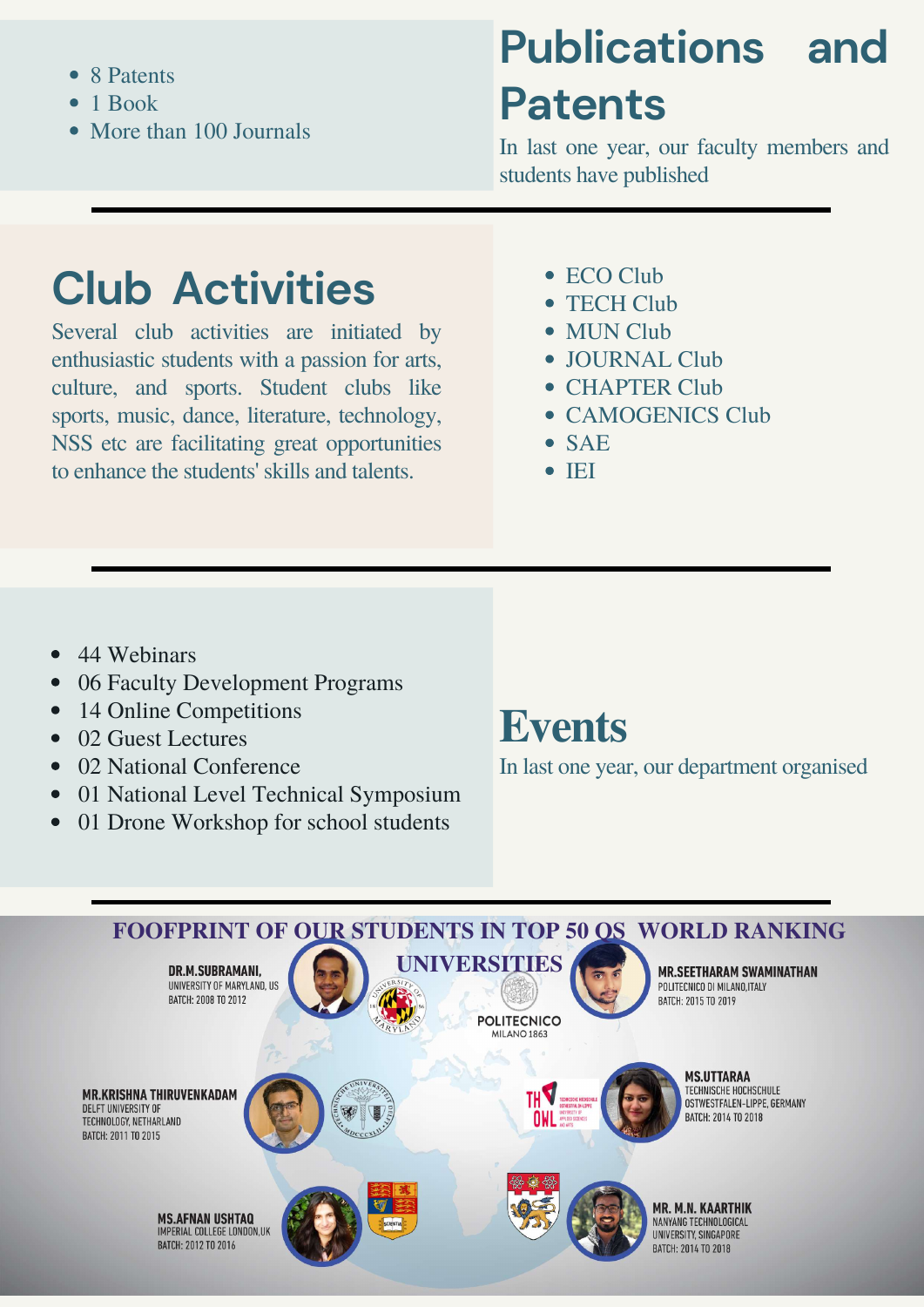- 44 Webinars
- 06 Faculty Development Programs
- 14 Online Competitions
- 02 Guest Lectures
- 02 National Conference
- 01 National Level Technical Symposium
- 01 Drone Workshop for school students



### **Events**

In last one year, our department organised

- 8 Patents
- 1 Book  $\bullet$
- More than 100 Journals

## **Club Activities**

Several club activities are initiated by enthusiastic students with a passion for arts, culture, and sports. Student clubs like sports, music, dance, literature, technology, NSS etc are facilitating great opportunities to enhance the students' skills and talents.

- ECO Club
- TECH Club
- MUN Club
- JOURNAL Club
- CHAPTER Club
- CAMOGENICS Club
- SAE
- $\bullet$  IEI

# **Publications and Patents**

In last one year, our faculty members and students have published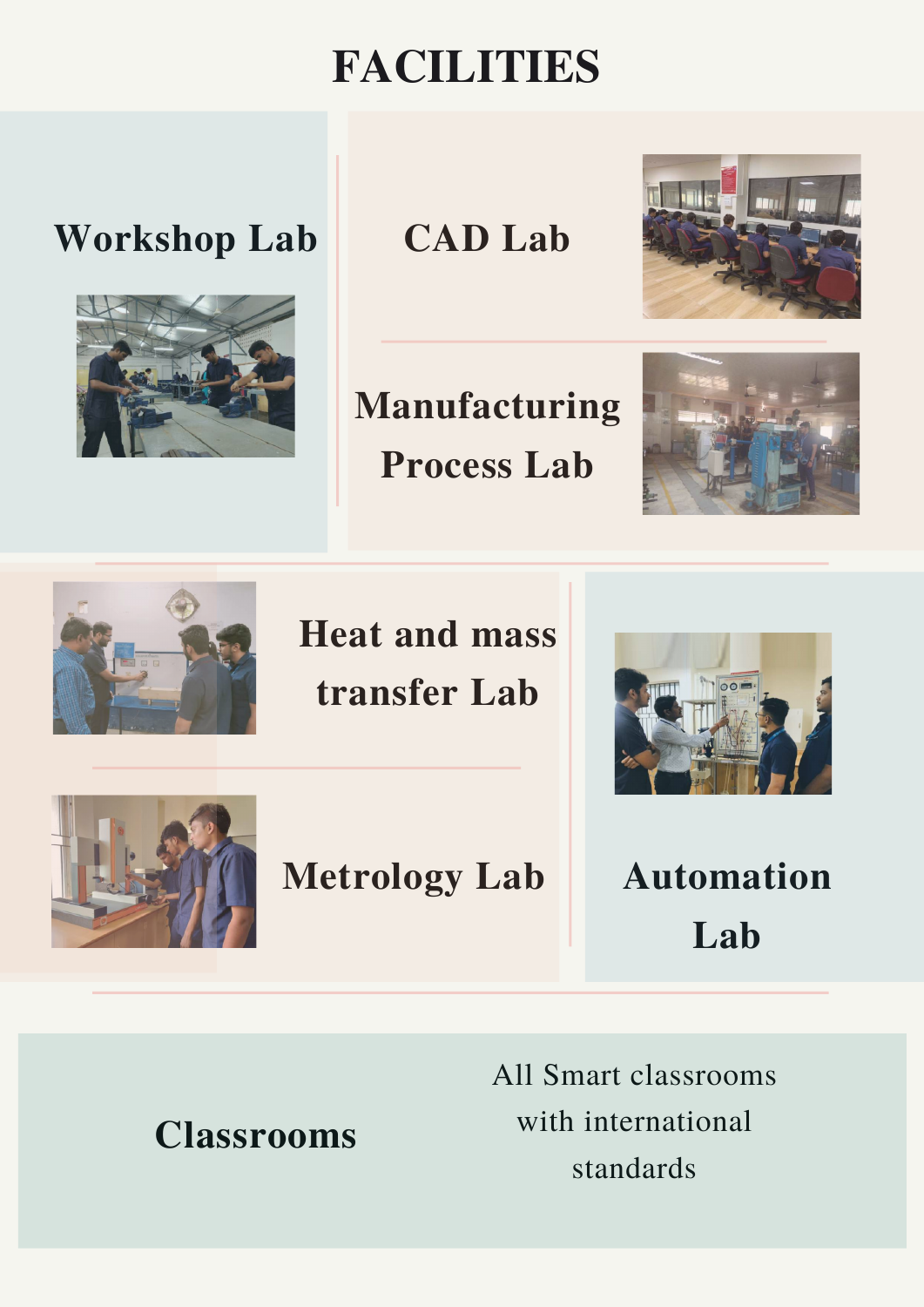## **FACILITIES**

All Smart classrooms with international standards

#### **Workshop Lab CAD Lab**





## **Metrology Lab**

## **Manufacturing Process Lab**





**Heat and mass transfer Lab**





## **Automation Lab**